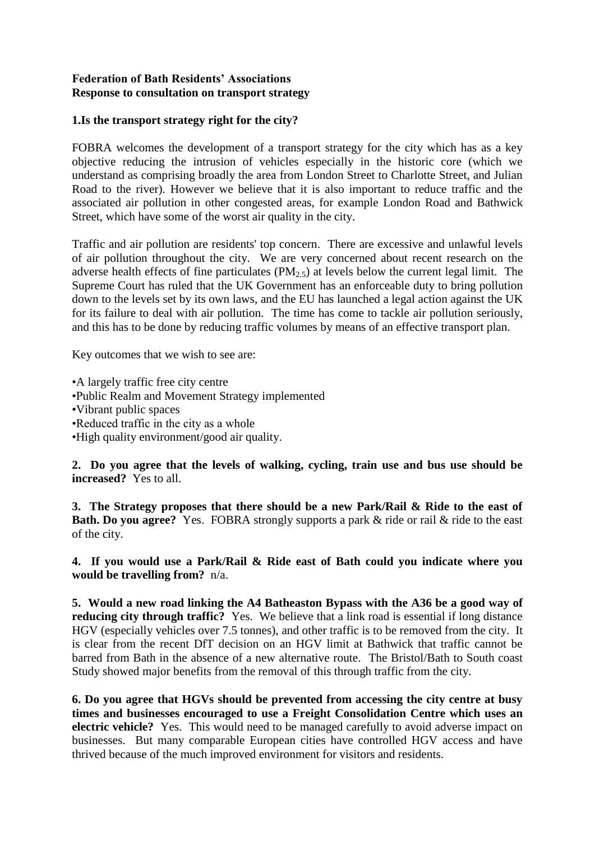## **Federation of Bath Residents' Associations Response to consultation on transport strategy**

## **1.Is the transport strategy right for the city?**

FOBRA welcomes the development of a transport strategy for the city which has as a key objective reducing the intrusion of vehicles especially in the historic core (which we understand as comprising broadly the area from London Street to Charlotte Street, and Julian Road to the river). However we believe that it is also important to reduce traffic and the associated air pollution in other congested areas, for example London Road and Bathwick Street, which have some of the worst air quality in the city.

Traffic and air pollution are residents' top concern. There are excessive and unlawful levels of air pollution throughout the city. We are very concerned about recent research on the adverse health effects of fine particulates ( $PM<sub>2.5</sub>$ ) at levels below the current legal limit. The Supreme Court has ruled that the UK Government has an enforceable duty to bring pollution down to the levels set by its own laws, and the EU has launched a legal action against the UK for its failure to deal with air pollution. The time has come to tackle air pollution seriously, and this has to be done by reducing traffic volumes by means of an effective transport plan.

Key outcomes that we wish to see are:

•A largely traffic free city centre •Public Realm and Movement Strategy implemented •Vibrant public spaces •Reduced traffic in the city as a whole •High quality environment/good air quality.

**2. Do you agree that the levels of walking, cycling, train use and bus use should be increased?** Yes to all.

**3. The Strategy proposes that there should be a new Park/Rail & Ride to the east of Bath. Do you agree?** Yes. FOBRA strongly supports a park & ride or rail & ride to the east of the city.

**4. If you would use a Park/Rail & Ride east of Bath could you indicate where you would be travelling from?** n/a.

**5. Would a new road linking the A4 Batheaston Bypass with the A36 be a good way of reducing city through traffic?** Yes. We believe that a link road is essential if long distance HGV (especially vehicles over 7.5 tonnes), and other traffic is to be removed from the city. It is clear from the recent DfT decision on an HGV limit at Bathwick that traffic cannot be barred from Bath in the absence of a new alternative route. The Bristol/Bath to South coast Study showed major benefits from the removal of this through traffic from the city.

**6. Do you agree that HGVs should be prevented from accessing the city centre at busy times and businesses encouraged to use a Freight Consolidation Centre which uses an electric vehicle?** Yes. This would need to be managed carefully to avoid adverse impact on businesses. But many comparable European cities have controlled HGV access and have thrived because of the much improved environment for visitors and residents.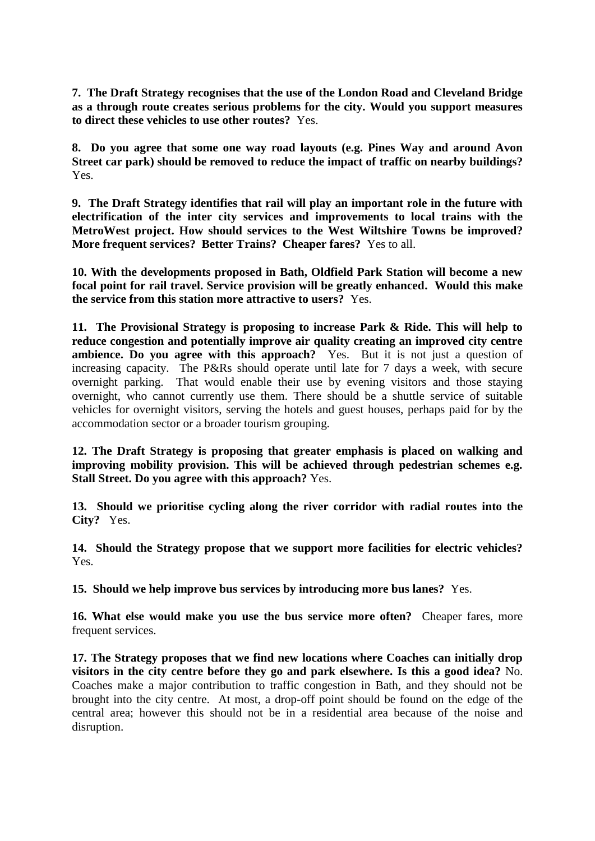**7. The Draft Strategy recognises that the use of the London Road and Cleveland Bridge as a through route creates serious problems for the city. Would you support measures to direct these vehicles to use other routes?** Yes.

**8. Do you agree that some one way road layouts (e.g. Pines Way and around Avon Street car park) should be removed to reduce the impact of traffic on nearby buildings?**  Yes.

**9. The Draft Strategy identifies that rail will play an important role in the future with electrification of the inter city services and improvements to local trains with the MetroWest project. How should services to the West Wiltshire Towns be improved? More frequent services? Better Trains? Cheaper fares?** Yes to all.

**10. With the developments proposed in Bath, Oldfield Park Station will become a new focal point for rail travel. Service provision will be greatly enhanced. Would this make the service from this station more attractive to users?** Yes.

**11. The Provisional Strategy is proposing to increase Park & Ride. This will help to reduce congestion and potentially improve air quality creating an improved city centre ambience. Do you agree with this approach?** Yes. But it is not just a question of increasing capacity. The P&Rs should operate until late for 7 days a week, with secure overnight parking. That would enable their use by evening visitors and those staying overnight, who cannot currently use them. There should be a shuttle service of suitable vehicles for overnight visitors, serving the hotels and guest houses, perhaps paid for by the accommodation sector or a broader tourism grouping.

**12. The Draft Strategy is proposing that greater emphasis is placed on walking and improving mobility provision. This will be achieved through pedestrian schemes e.g. Stall Street. Do you agree with this approach?** Yes.

**13. Should we prioritise cycling along the river corridor with radial routes into the City?** Yes.

**14. Should the Strategy propose that we support more facilities for electric vehicles?**  Yes.

**15. Should we help improve bus services by introducing more bus lanes?** Yes.

**16. What else would make you use the bus service more often?** Cheaper fares, more frequent services.

**17. The Strategy proposes that we find new locations where Coaches can initially drop visitors in the city centre before they go and park elsewhere. Is this a good idea?** No. Coaches make a major contribution to traffic congestion in Bath, and they should not be brought into the city centre. At most, a drop-off point should be found on the edge of the central area; however this should not be in a residential area because of the noise and disruption.